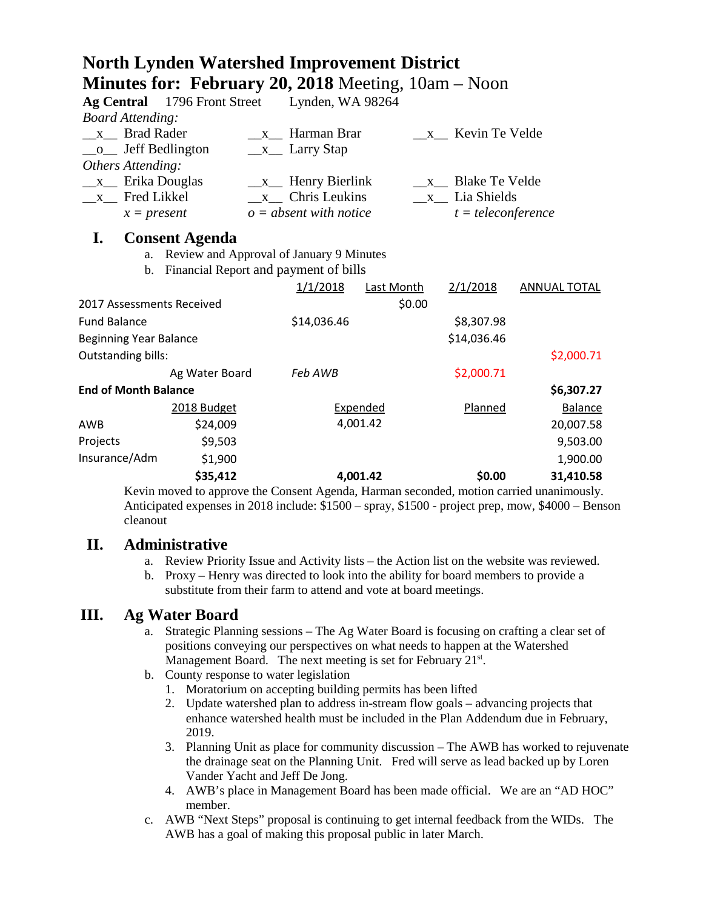|                               |                              | <b>Minutes for: February 20, 2018</b> Meeting, $10am - Noon$ |                   |                      |                     |
|-------------------------------|------------------------------|--------------------------------------------------------------|-------------------|----------------------|---------------------|
|                               | Ag Central 1796 Front Street | Lynden, WA 98264                                             |                   |                      |                     |
| <b>Board Attending:</b>       |                              |                                                              |                   |                      |                     |
| x Brad Rader                  |                              | Harman Brar<br>$\mathbf{X}$                                  |                   | $x$ Kevin Te Velde   |                     |
| $\overline{0}$                | Jeff Bedlington              | $\_\ x_\_$ Larry Stap                                        |                   |                      |                     |
| Others Attending:             |                              |                                                              |                   |                      |                     |
| $x$ Erika Douglas             |                              | Henry Bierlink<br>$\mathbf{X}$                               |                   | $x$ Blake Te Velde   |                     |
| $x$ Fred Likkel               |                              | $x$ Chris Leukins                                            |                   | $x$ Lia Shields      |                     |
| $x = present$                 |                              | $o = absent$ with notice                                     |                   | $t = teleconference$ |                     |
| I.                            | <b>Consent Agenda</b>        |                                                              |                   |                      |                     |
| a.                            |                              | Review and Approval of January 9 Minutes                     |                   |                      |                     |
| $\mathbf b$ .                 |                              | Financial Report and payment of bills                        |                   |                      |                     |
|                               |                              | 1/1/2018                                                     | <b>Last Month</b> | 2/1/2018             | <b>ANNUAL TOTAL</b> |
| 2017 Assessments Received     |                              |                                                              | \$0.00            |                      |                     |
| <b>Fund Balance</b>           |                              | \$14,036.46                                                  |                   | \$8,307.98           |                     |
| <b>Beginning Year Balance</b> |                              |                                                              |                   | \$14,036.46          |                     |
| Outstanding bills:            |                              |                                                              |                   |                      | \$2,000.71          |
|                               | Ag Water Board               | Feb AWB                                                      |                   | \$2,000.71           |                     |
| <b>End of Month Balance</b>   |                              |                                                              |                   |                      | \$6,307.27          |
|                               | 2018 Budget                  | Expended                                                     |                   | Planned              | Balance             |
| AWB                           | \$24,009                     | 4,001.42                                                     |                   |                      | 20,007.58           |
| Projects                      | \$9,503                      |                                                              |                   |                      | 9,503.00            |
| Insurance/Adm                 | \$1,900                      |                                                              |                   |                      | 1,900.00            |
|                               | \$35,412                     | 4,001.42                                                     |                   | \$0.00               | 31,410.58           |

**North Lynden Watershed Improvement District**

Kevin moved to approve the Consent Agenda, Harman seconded, motion carried unanimously. Anticipated expenses in 2018 include: \$1500 – spray, \$1500 - project prep, mow, \$4000 – Benson cleanout

## **II. Administrative**

- a. Review Priority Issue and Activity lists the Action list on the website was reviewed.
- b. Proxy Henry was directed to look into the ability for board members to provide a substitute from their farm to attend and vote at board meetings.

## **III. Ag Water Board**

- a. Strategic Planning sessions The Ag Water Board is focusing on crafting a clear set of positions conveying our perspectives on what needs to happen at the Watershed Management Board. The next meeting is set for February 21<sup>st</sup>.
- b. County response to water legislation
	- 1. Moratorium on accepting building permits has been lifted
	- 2. Update watershed plan to address in-stream flow goals advancing projects that enhance watershed health must be included in the Plan Addendum due in February, 2019.
	- 3. Planning Unit as place for community discussion The AWB has worked to rejuvenate the drainage seat on the Planning Unit. Fred will serve as lead backed up by Loren Vander Yacht and Jeff De Jong.
	- 4. AWB's place in Management Board has been made official. We are an "AD HOC" member.
- c. AWB "Next Steps" proposal is continuing to get internal feedback from the WIDs. The AWB has a goal of making this proposal public in later March.